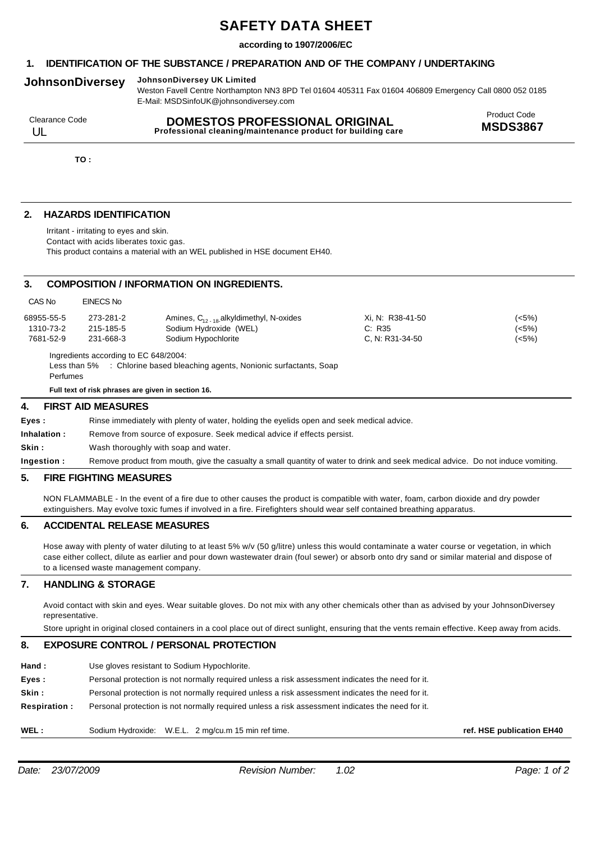# **SAFETY DATA SHEET**

## **according to 1907/2006/EC**

# **1. IDENTIFICATION OF THE SUBSTANCE / PREPARATION AND OF THE COMPANY / UNDERTAKING**

# **JohnsonDiversey JohnsonDiversey UK Limited**

Weston Favell Centre Northampton NN3 8PD Tel 01604 405311 Fax 01604 406809 Emergency Call 0800 052 0185 E-Mail: MSDSinfoUK@johnsondiversey.com

| Clearance Code | <b>DOMESTOS PROFESSIONAL ORIGINAL</b>                       | <b>Product Code</b> |
|----------------|-------------------------------------------------------------|---------------------|
|                | Professional cleaning/maintenance product for building care | <b>MSDS3867</b>     |

**TO :**

# **2. HAZARDS IDENTIFICATION**

Irritant - irritating to eyes and skin. Contact with acids liberates toxic gas. This product contains a material with an WEL published in HSE document EH40.

## **3. COMPOSITION / INFORMATION ON INGREDIENTS.**

| CAS No     | EINECS No |                                             |                  |       |
|------------|-----------|---------------------------------------------|------------------|-------|
| 68955-55-5 | 273-281-2 | Amines, $C_{12,18}$ alkyldimethyl, N-oxides | Xi, N: R38-41-50 | (<5%) |
| 1310-73-2  | 215-185-5 | Sodium Hydroxide (WEL)                      | C. R35           | (<5%) |
| 7681-52-9  | 231-668-3 | Sodium Hypochlorite                         | C. N: R31-34-50  | (<5%) |

Ingredients according to EC 648/2004: Less than 5% : Chlorine based bleaching agents, Nonionic surfactants, Soap Perfumes

**Full text of risk phrases are given in section 16.**

## **4. FIRST AID MEASURES**

**Eyes :** Rinse immediately with plenty of water, holding the eyelids open and seek medical advice.

**Inhalation :** Remove from source of exposure. Seek medical advice if effects persist.

**Skin :** Wash thoroughly with soap and water.

**Ingestion :** Remove product from mouth, give the casualty a small quantity of water to drink and seek medical advice. Do not induce vomiting.

## **5. FIRE FIGHTING MEASURES**

NON FLAMMABLE - In the event of a fire due to other causes the product is compatible with water, foam, carbon dioxide and dry powder extinguishers. May evolve toxic fumes if involved in a fire. Firefighters should wear self contained breathing apparatus.

## **6. ACCIDENTAL RELEASE MEASURES**

Hose away with plenty of water diluting to at least 5% w/v (50 g/litre) unless this would contaminate a water course or vegetation, in which case either collect, dilute as earlier and pour down wastewater drain (foul sewer) or absorb onto dry sand or similar material and dispose of to a licensed waste management company.

# **7. HANDLING & STORAGE**

Avoid contact with skin and eyes. Wear suitable gloves. Do not mix with any other chemicals other than as advised by your JohnsonDiversey representative.

Store upright in original closed containers in a cool place out of direct sunlight, ensuring that the vents remain effective. Keep away from acids.

#### **8. EXPOSURE CONTROL / PERSONAL PROTECTION**

- **Hand :** Use gloves resistant to Sodium Hypochlorite.
- **Eyes :** Personal protection is not normally required unless a risk assessment indicates the need for it.
- **Skin :** Personal protection is not normally required unless a risk assessment indicates the need for it.
- **Respiration :** Personal protection is not normally required unless a risk assessment indicates the need for it.
- **WEL :** Sodium Hydroxide: W.E.L. 2 mg/cu.m 15 min ref time.

**ref. HSE publication EH40**